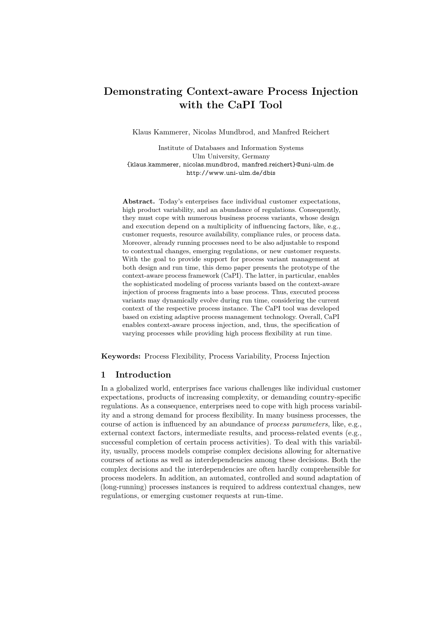# **Demonstrating Context-aware Process Injection with the CaPI Tool**

Klaus Kammerer, Nicolas Mundbrod, and Manfred Reichert

Institute of Databases and Information Systems Ulm University, Germany {klaus.kammerer, nicolas.mundbrod, manfred.reichert}@uni-ulm.de <http://www.uni-ulm.de/dbis>

**Abstract.** Today's enterprises face individual customer expectations, high product variability, and an abundance of regulations. Consequently, they must cope with numerous business process variants, whose design and execution depend on a multiplicity of influencing factors, like, e.g., customer requests, resource availability, compliance rules, or process data. Moreover, already running processes need to be also adjustable to respond to contextual changes, emerging regulations, or new customer requests. With the goal to provide support for process variant management at both design and run time, this demo paper presents the prototype of the context-aware process framework (CaPI). The latter, in particular, enables the sophisticated modeling of process variants based on the context-aware injection of process fragments into a base process. Thus, executed process variants may dynamically evolve during run time, considering the current context of the respective process instance. The CaPI tool was developed based on existing adaptive process management technology. Overall, CaPI enables context-aware process injection, and, thus, the specification of varying processes while providing high process flexibility at run time.

**Keywords:** Process Flexibility, Process Variability, Process Injection

## **Introduction**

In a globalized world, enterprises face various challenges like individual customer expectations, products of increasing complexity, or demanding country-specific regulations. As a consequence, enterprises need to cope with high process variability and a strong demand for process flexibility. In many business processes, the course of action is influenced by an abundance of *process parameters*, like, e.g., external context factors, intermediate results, and process-related events (e.g., successful completion of certain process activities). To deal with this variability, usually, process models comprise complex decisions allowing for alternative courses of actions as well as interdependencies among these decisions. Both the complex decisions and the interdependencies are often hardly comprehensible for process modelers. In addition, an automated, controlled and sound adaptation of (long-running) processes instances is required to address contextual changes, new regulations, or emerging customer requests at run-time.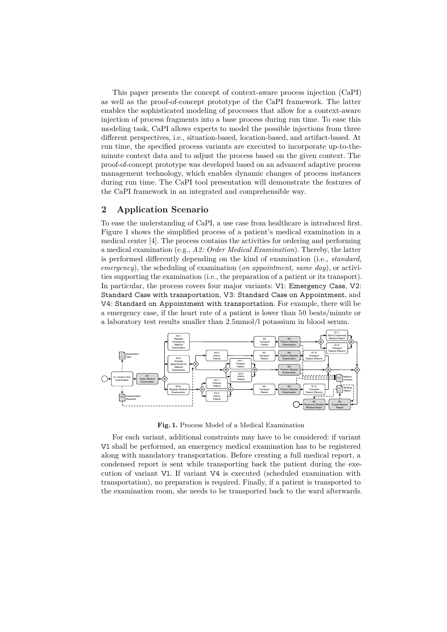This paper presents the concept of context-aware process injection (CaPI) as well as the proof-of-concept prototype of the CaPI framework. The latter enables the sophisticated modeling of processes that allow for a context-aware injection of process fragments into a base process during run time. To ease this modeling task, CaPI allows experts to model the possible injections from three different perspectives, i.e., situation-based, location-based, and artifact-based. At run time, the specified process variants are executed to incorporate up-to-theminute context data and to adjust the process based on the given context. The proof-of-concept prototype was developed based on an advanced adaptive process management technology, which enables dynamic changes of process instances during run time. The CaPI tool presentation will demonstrate the features of the CaPI framework in an integrated and comprehensible way.

## <span id="page-1-1"></span>**Application Scenario**

To ease the understanding of CaPI, a use case from healthcare is introduced first. Figure 1 shows the simplified process of a patient's medical examination in a medical center [4]. The process contains the activities for ordering and performing a medical examination (e.g., *A: Order Medical Examination*). Thereby, the latter is performed differently depending on the kind of examination (i.e., *standard*, *emergency*), the scheduling of examination (*on appointment, same day*), or activities supporting the examination (i.e., the preparation of a patient or its transport). In particular, the process covers four major variants: V1: Emergency Case, V2: Standard Case with transportation, V3: Standard Case on Appointment, and V4: Standard on Appointment with transportation. For example, there will be a emergency case, if the heart rate of a patient is lower than 50 beats/minute or a laboratory test results smaller than 2.5mmol/l potassium in blood serum.

<span id="page-1-0"></span>

**Fig. .** Process Model of a Medical Examination

For each variant, additional constraints may have to be considered: if variant V1 shall be performed, an emergency medical examination has to be registered along with mandatory transportation. Before creating a full medical report, a condensed report is sent while transporting back the patient during the execution of variant V1. If variant V4 is executed (scheduled examination with transportation), no preparation is required. Finally, if a patient is transported to the examination room, she needs to be transported back to the ward afterwards.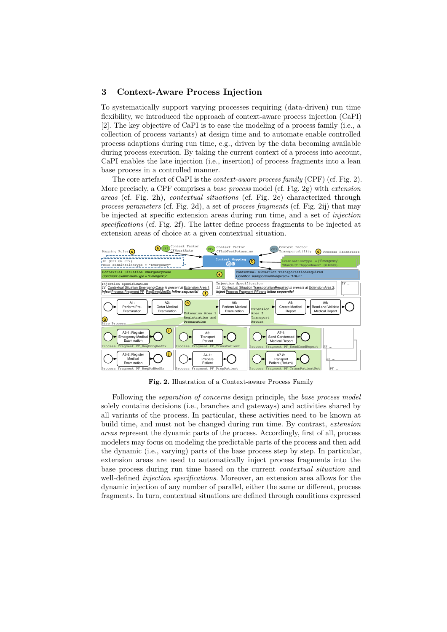#### **Context-Aware Process Injection**

To systematically support varying processes requiring (data-driven) run time flexibility, we introduced the approach of context-aware process injection (CaPI) []. The key objective of CaPI is to ease the modeling of a process family (i.e., a collection of process variants) at design time and to automate enable controlled process adaptions during run time, e.g., driven by the data becoming available during process execution. By taking the current context of a process into account, CaPI enables the late injection (i.e., insertion) of process fragments into a lean base process in a controlled manner.

The core artefact of CaPI is the *context-aware process family* (CPF) (cf. Fig. 2). More precisely, a CPF comprises a *base process* model (cf. Fig. g) with *extension areas* (cf. Fig. 2h), *contextual situations* (cf. Fig. 2e) characterized through *process parameters* (cf. Fig. 2d), a set of *process fragments* (cf. Fig. 2ij) that may be injected at specific extension areas during run time, and a set of *injection* specifications (cf. Fig. 2f). The latter define process fragments to be injected at extension areas of choice at a given contextual situation.

<span id="page-2-0"></span>

**Fig. .** Illustration of a Context-aware Process Family

Following the *separation of concerns* design principle, the *base process model* solely contains decisions (i.e., branches and gateways) and activities shared by all variants of the process. In particular, these activities need to be known at build time, and must not be changed during run time. By contrast, *extension areas* represent the dynamic parts of the process. Accordingly, first of all, process modelers may focus on modeling the predictable parts of the process and then add the dynamic (i.e., varying) parts of the base process step by step. In particular, extension areas are used to automatically inject process fragments into the base process during run time based on the current *contextual situation* and well-defined *injection specifications*. Moreover, an extension area allows for the dynamic injection of any number of parallel, either the same or different, process fragments. In turn, contextual situations are defined through conditions expressed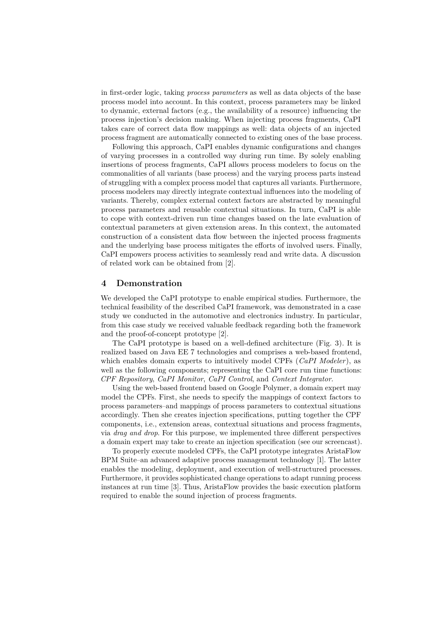in first-order logic, taking *process parameters* as well as data objects of the base process model into account. In this context, process parameters may be linked to dynamic, external factors (e.g., the availability of a resource) influencing the process injection's decision making. When injecting process fragments, CaPI takes care of correct data flow mappings as well: data objects of an injected process fragment are automatically connected to existing ones of the base process.

Following this approach, CaPI enables dynamic configurations and changes of varying processes in a controlled way during run time. By solely enabling insertions of process fragments, CaPI allows process modelers to focus on the commonalities of all variants (base process) and the varying process parts instead of struggling with a complex process model that captures all variants. Furthermore, process modelers may directly integrate contextual influences into the modeling of variants. Thereby, complex external context factors are abstracted by meaningful process parameters and reusable contextual situations. In turn, CaPI is able to cope with context-driven run time changes based on the late evaluation of contextual parameters at given extension areas. In this context, the automated construction of a consistent data flow between the injected process fragments and the underlying base process mitigates the efforts of involved users. Finally, CaPI empowers process activities to seamlessly read and write data. A discussion of related work can be obtained from [2].

#### **Demonstration**

We developed the CaPI prototype to enable empirical studies. Furthermore, the technical feasibility of the described CaPI framework, was demonstrated in a case study we conducted in the automotive and electronics industry. In particular, from this case study we received valuable feedback regarding both the framework and the proof-of-concept prototype [2].

The CaPI prototype is based on a well-defined architecture (Fig. ). It is realized based on Java EE 7 technologies and comprises a web-based frontend, which enables domain experts to intuitively model CPFs (*CaPI Modeler*), as well as the following components; representing the CaPI core run time functions: *CPF Repository*, *CaPI Monitor*, *CaPI Control*, and *Context Integrator*.

Using the web-based frontend based on Google Polymer, a domain expert may model the CPFs. First, she needs to specify the mappings of context factors to process parameters–and mappings of process parameters to contextual situations accordingly. Then she creates injection specifications, putting together the CPF components, i.e., extension areas, contextual situations and process fragments, via *drag and drop*. For this purpose, we implemented three different perspectives a domain expert may take to create an injection specification (see our screencast).

To properly execute modeled CPFs, the CaPI prototype integrates AristaFlow BPM Suite–an advanced adaptive process management technology []. The latter enables the modeling, deployment, and execution of well-structured processes. Furthermore, it provides sophisticated change operations to adapt running process instances at run time  $[3]$ . Thus, AristaFlow provides the basic execution platform required to enable the sound injection of process fragments.